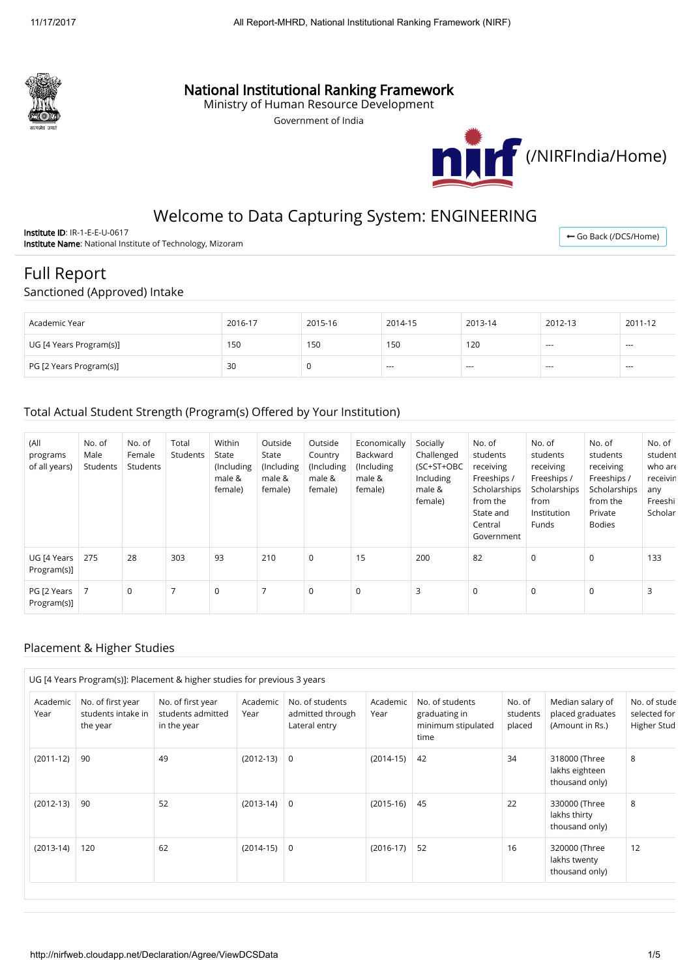

## National Institutional Ranking Framework

Ministry of Human Resource Development

Government of India



## Welcome to Data Capturing System: ENGINEERING

Institute ID: IR-1-E-E-U-0617 Institute Name: National Institute of Technology, Mizoram

← [Go Back \(/DCS/Home\)](http://nirfweb.cloudapp.net/DCS/Home)

# Full Report

#### Sanctioned (Approved) Intake

| Academic Year           | 2016-17 | 2015-16 | 2014-15 | 2013-14 | 2012-13       | 2011-12 |
|-------------------------|---------|---------|---------|---------|---------------|---------|
| UG [4 Years Program(s)] | 150     | 150     | 150     | 120     | $- - -$       | $- - -$ |
| PG [2 Years Program(s)] | 30      |         | $- - -$ | $- - -$ | $\frac{1}{2}$ | $- - -$ |

#### Total Actual Student Strength (Program(s) Offered by Your Institution)

| (All<br>programs<br>of all years) | No. of<br>Male<br>Students | No. of<br>Female<br>Students | Total<br>Students | Within<br>State<br>(Including)<br>male &<br>female) | Outside<br>State<br>(Including<br>male &<br>female) | Outside<br>Country<br>(Including<br>male &<br>female) | Economically<br>Backward<br>(Including<br>male &<br>female) | Socially<br>Challenged<br>(SC+ST+OBC<br>Including<br>male &<br>female) | No. of<br>students<br>receiving<br>Freeships /<br>Scholarships<br>from the<br>State and<br>Central<br>Government | No. of<br>students<br>receiving<br>Freeships /<br>Scholarships<br>from<br>Institution<br>Funds | No. of<br>students<br>receiving<br>Freeships /<br>Scholarships<br>from the<br>Private<br><b>Bodies</b> | No. of<br>student<br>who are<br>receivin<br>any<br>Freeshi<br>Scholar |
|-----------------------------------|----------------------------|------------------------------|-------------------|-----------------------------------------------------|-----------------------------------------------------|-------------------------------------------------------|-------------------------------------------------------------|------------------------------------------------------------------------|------------------------------------------------------------------------------------------------------------------|------------------------------------------------------------------------------------------------|--------------------------------------------------------------------------------------------------------|-----------------------------------------------------------------------|
| UG [4 Years<br>Program(s)]        | 275                        | 28                           | 303               | 93                                                  | 210                                                 | 0                                                     | 15                                                          | 200                                                                    | 82                                                                                                               | $\mathbf 0$                                                                                    | $\mathbf 0$                                                                                            | 133                                                                   |
| PG [2 Years<br>Program(s)]        | 7                          | 0                            | $\overline{7}$    | $\mathbf 0$                                         | 7                                                   | $\mathbf 0$                                           | $\mathbf 0$                                                 | 3                                                                      | $\mathbf 0$                                                                                                      | 0                                                                                              | $\mathbf 0$                                                                                            | 3                                                                     |

#### Placement & Higher Studies

|                  |                                                     | UG [4 Years Program(s)]: Placement & higher studies for previous 3 years |                  |                                                      |                  |                                                                |                              |                                                         |                                             |
|------------------|-----------------------------------------------------|--------------------------------------------------------------------------|------------------|------------------------------------------------------|------------------|----------------------------------------------------------------|------------------------------|---------------------------------------------------------|---------------------------------------------|
| Academic<br>Year | No. of first year<br>students intake in<br>the year | No. of first year<br>students admitted<br>in the year                    | Academic<br>Year | No. of students<br>admitted through<br>Lateral entry | Academic<br>Year | No. of students<br>graduating in<br>minimum stipulated<br>time | No. of<br>students<br>placed | Median salary of<br>placed graduates<br>(Amount in Rs.) | No. of stude<br>selected for<br>Higher Stud |
| $(2011-12)$      | 90                                                  | 49                                                                       | $(2012-13)$      | 0                                                    | $(2014-15)$      | 42                                                             | 34                           | 318000 (Three<br>lakhs eighteen<br>thousand only)       | 8                                           |
| $(2012-13)$      | 90                                                  | 52                                                                       | $(2013-14)$      | $\mathbf 0$                                          | $(2015-16)$      | 45                                                             | 22                           | 330000 (Three<br>lakhs thirty<br>thousand only)         | 8                                           |
| $(2013-14)$      | 120                                                 | 62                                                                       | $(2014-15)$      | 0                                                    | $(2016-17)$      | 52                                                             | 16                           | 320000 (Three<br>lakhs twenty<br>thousand only)         | 12                                          |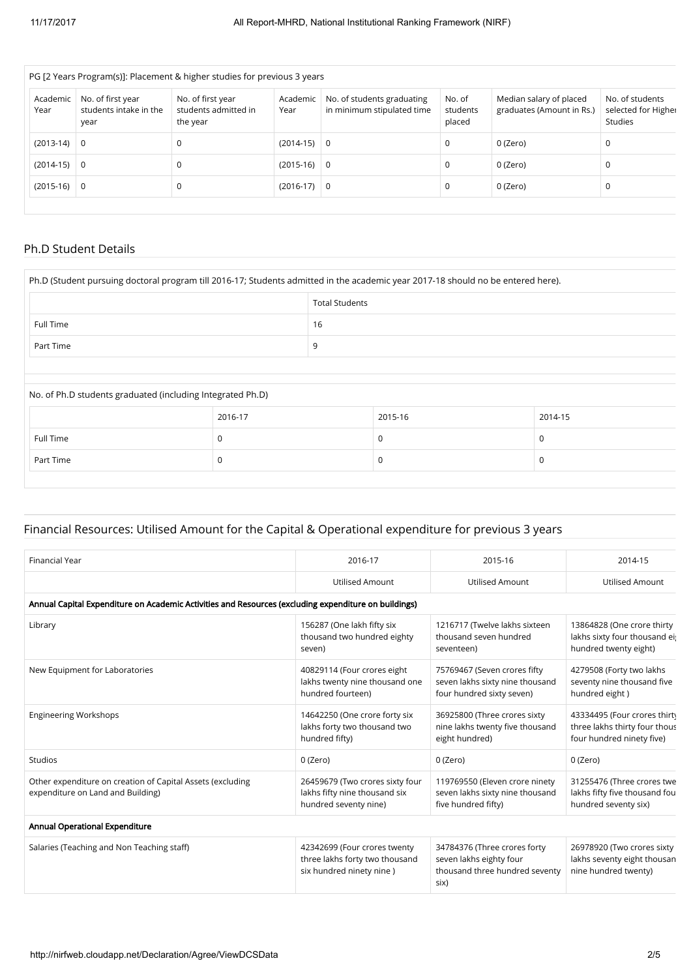| PG [2 Years Program(s)]: Placement & higher studies for previous 3 years |                                                     |                                                       |                  |                                                          |                              |                                                      |                                                          |  |  |
|--------------------------------------------------------------------------|-----------------------------------------------------|-------------------------------------------------------|------------------|----------------------------------------------------------|------------------------------|------------------------------------------------------|----------------------------------------------------------|--|--|
| Academic<br>Year                                                         | No. of first year<br>students intake in the<br>year | No. of first year<br>students admitted in<br>the year | Academic<br>Year | No. of students graduating<br>in minimum stipulated time | No. of<br>students<br>placed | Median salary of placed<br>graduates (Amount in Rs.) | No. of students<br>selected for Higher<br><b>Studies</b> |  |  |
| $(2013-14)$                                                              | $\overline{0}$                                      |                                                       | $(2014-15)$ 0    |                                                          | $\mathbf 0$                  | 0 (Zero)                                             | 0                                                        |  |  |
| $(2014-15)$                                                              | $\overline{0}$                                      |                                                       | $(2015-16)$ 0    |                                                          | 0                            | 0 (Zero)                                             | 0                                                        |  |  |
| $(2015-16)$ 0                                                            |                                                     |                                                       | $(2016-17)$ 0    |                                                          | $\mathbf 0$                  | 0 (Zero)                                             | 0                                                        |  |  |
|                                                                          |                                                     |                                                       |                  |                                                          |                              |                                                      |                                                          |  |  |

#### Ph.D Student Details

| Ph.D (Student pursuing doctoral program till 2016-17; Students admitted in the academic year 2017-18 should no be entered here). |             |                       |         |  |         |  |  |
|----------------------------------------------------------------------------------------------------------------------------------|-------------|-----------------------|---------|--|---------|--|--|
|                                                                                                                                  |             | <b>Total Students</b> |         |  |         |  |  |
| Full Time                                                                                                                        |             | 16                    |         |  |         |  |  |
| Part Time                                                                                                                        | 9           |                       |         |  |         |  |  |
|                                                                                                                                  |             |                       |         |  |         |  |  |
| No. of Ph.D students graduated (including Integrated Ph.D)                                                                       |             |                       |         |  |         |  |  |
|                                                                                                                                  | 2016-17     |                       | 2015-16 |  | 2014-15 |  |  |
| Full Time                                                                                                                        | $\mathbf 0$ |                       | 0       |  | 0       |  |  |
| Part Time                                                                                                                        | $\mathbf 0$ |                       | 0       |  | 0       |  |  |

## Financial Resources: Utilised Amount for the Capital & Operational expenditure for previous 3 years

| <b>Financial Year</b>                                                                                | 2016-17                                                                                    | 2015-16                                                                                           | 2014-15                                                                                    |
|------------------------------------------------------------------------------------------------------|--------------------------------------------------------------------------------------------|---------------------------------------------------------------------------------------------------|--------------------------------------------------------------------------------------------|
|                                                                                                      | <b>Utilised Amount</b>                                                                     | <b>Utilised Amount</b>                                                                            | <b>Utilised Amount</b>                                                                     |
| Annual Capital Expenditure on Academic Activities and Resources (excluding expenditure on buildings) |                                                                                            |                                                                                                   |                                                                                            |
| Library                                                                                              | 156287 (One lakh fifty six<br>thousand two hundred eighty<br>seven)                        | 1216717 (Twelve lakhs sixteen<br>thousand seven hundred<br>seventeen)                             | 13864828 (One crore thirty<br>lakhs sixty four thousand eig<br>hundred twenty eight)       |
| New Equipment for Laboratories                                                                       | 40829114 (Four crores eight<br>lakhs twenty nine thousand one<br>hundred fourteen)         | 75769467 (Seven crores fifty<br>seven lakhs sixty nine thousand<br>four hundred sixty seven)      | 4279508 (Forty two lakhs<br>seventy nine thousand five<br>hundred eight)                   |
| <b>Engineering Workshops</b>                                                                         | 14642250 (One crore forty six<br>lakhs forty two thousand two<br>hundred fifty)            | 36925800 (Three crores sixty<br>nine lakhs twenty five thousand<br>eight hundred)                 | 43334495 (Four crores thirty<br>three lakhs thirty four thous<br>four hundred ninety five) |
| Studios                                                                                              | 0 (Zero)                                                                                   | 0 (Zero)                                                                                          | 0 (Zero)                                                                                   |
| Other expenditure on creation of Capital Assets (excluding<br>expenditure on Land and Building)      | 26459679 (Two crores sixty four<br>lakhs fifty nine thousand six<br>hundred seventy nine)  | 119769550 (Eleven crore ninety<br>seven lakhs sixty nine thousand<br>five hundred fifty)          | 31255476 (Three crores twe<br>lakhs fifty five thousand fou<br>hundred seventy six)        |
| Annual Operational Expenditure                                                                       |                                                                                            |                                                                                                   |                                                                                            |
| Salaries (Teaching and Non Teaching staff)                                                           | 42342699 (Four crores twenty<br>three lakhs forty two thousand<br>six hundred ninety nine) | 34784376 (Three crores forty<br>seven lakhs eighty four<br>thousand three hundred seventy<br>six) | 26978920 (Two crores sixty<br>lakhs seventy eight thousan<br>nine hundred twenty)          |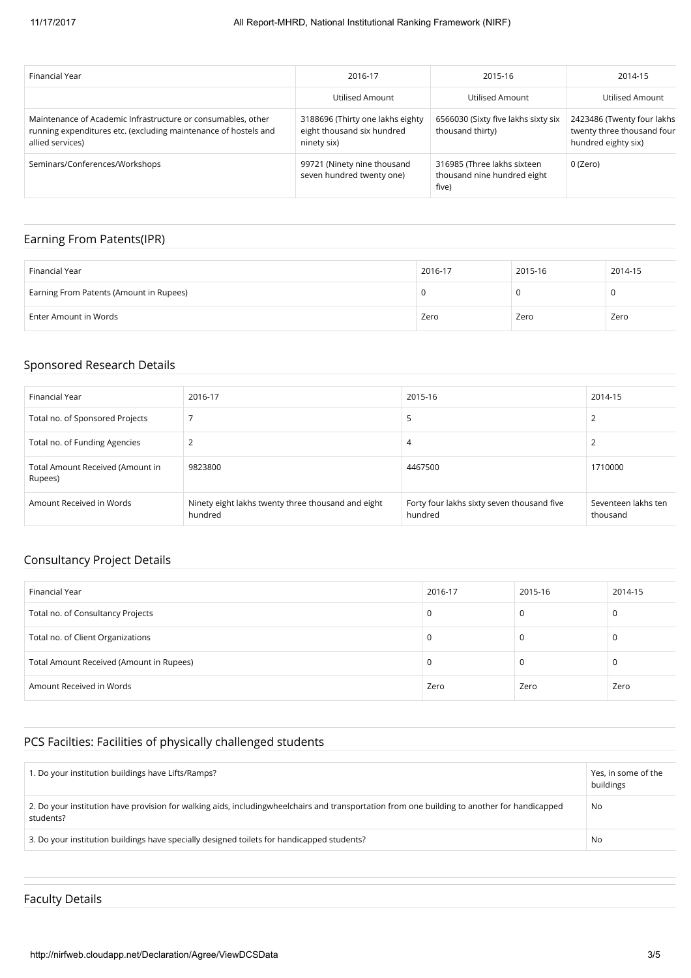| Financial Year                                                                                                                                      | 2016-17                                                                       | 2015-16                                                             | 2014-15                                                                         |
|-----------------------------------------------------------------------------------------------------------------------------------------------------|-------------------------------------------------------------------------------|---------------------------------------------------------------------|---------------------------------------------------------------------------------|
|                                                                                                                                                     | Utilised Amount                                                               | Utilised Amount                                                     | Utilised Amount                                                                 |
| Maintenance of Academic Infrastructure or consumables, other<br>running expenditures etc. (excluding maintenance of hostels and<br>allied services) | 3188696 (Thirty one lakhs eighty<br>eight thousand six hundred<br>ninety six) | 6566030 (Sixty five lakhs sixty six<br>thousand thirty)             | 2423486 (Twenty four lakhs<br>twenty three thousand four<br>hundred eighty six) |
| Seminars/Conferences/Workshops                                                                                                                      | 99721 (Ninety nine thousand<br>seven hundred twenty one)                      | 316985 (Three lakhs sixteen<br>thousand nine hundred eight<br>five) | 0 (Zero)                                                                        |

## Earning From Patents(IPR)

| Financial Year                          | 2016-17 | 2015-16 | 2014-15 |
|-----------------------------------------|---------|---------|---------|
| Earning From Patents (Amount in Rupees) |         |         |         |
| Enter Amount in Words                   | Zero    | Zero    | Zero    |

#### Sponsored Research Details

| Financial Year                              | 2016-17                                                       | 2015-16                                               | 2014-15                         |
|---------------------------------------------|---------------------------------------------------------------|-------------------------------------------------------|---------------------------------|
| Total no. of Sponsored Projects             |                                                               | ל                                                     | 2                               |
| Total no. of Funding Agencies               | ຳ                                                             | 4                                                     |                                 |
| Total Amount Received (Amount in<br>Rupees) | 9823800                                                       | 4467500                                               | 1710000                         |
| Amount Received in Words                    | Ninety eight lakhs twenty three thousand and eight<br>hundred | Forty four lakhs sixty seven thousand five<br>hundred | Seventeen lakhs ten<br>thousand |

## Consultancy Project Details

| Financial Year                           | 2016-17 | 2015-16 | 2014-15 |
|------------------------------------------|---------|---------|---------|
| Total no. of Consultancy Projects        | 0       | U       |         |
| Total no. of Client Organizations        | 0       | υ       |         |
| Total Amount Received (Amount in Rupees) | 0       | U       |         |
| Amount Received in Words                 | Zero    | Zero    | Zero    |

## PCS Facilties: Facilities of physically challenged students

| 1. Do your institution buildings have Lifts/Ramps?                                                                                                        | Yes, in some of the<br>buildings |
|-----------------------------------------------------------------------------------------------------------------------------------------------------------|----------------------------------|
| 2. Do your institution have provision for walking aids, includingwheelchairs and transportation from one building to another for handicapped<br>students? | No                               |
| 3. Do your institution buildings have specially designed toilets for handicapped students?                                                                | No                               |

## Faculty Details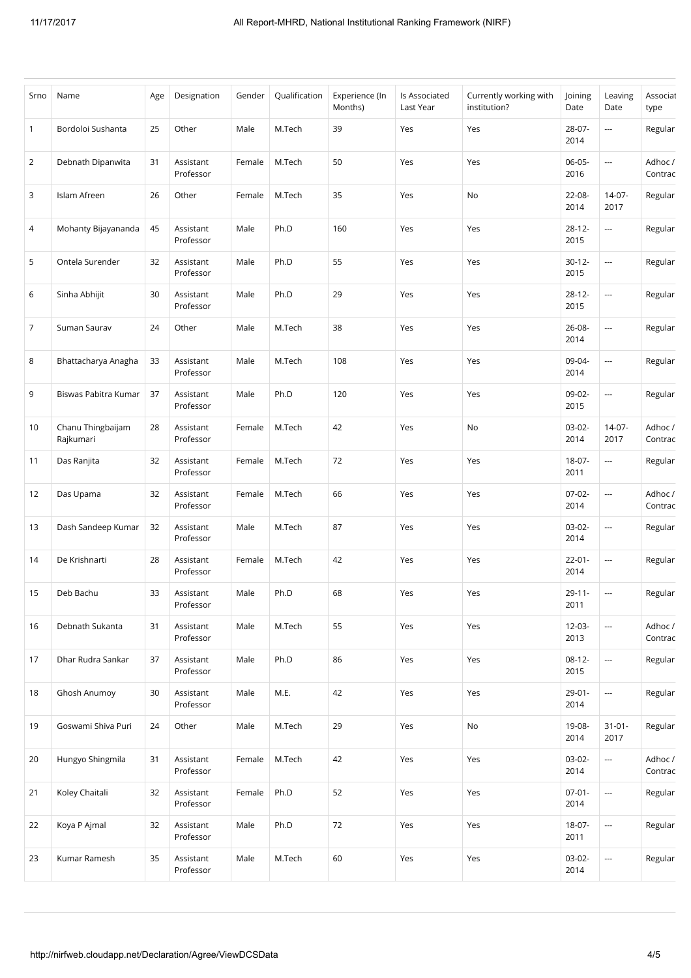| Srno           | Name                           | Age | Designation            | Gender | Qualification | Experience (In<br>Months) | Is Associated<br>Last Year | Currently working with<br>institution? | Joining<br>Date     | Leaving<br>Date          | Associat<br>type   |
|----------------|--------------------------------|-----|------------------------|--------|---------------|---------------------------|----------------------------|----------------------------------------|---------------------|--------------------------|--------------------|
| 1              | Bordoloi Sushanta              | 25  | Other                  | Male   | M.Tech        | 39                        | Yes                        | Yes                                    | 28-07-<br>2014      | $\overline{\phantom{a}}$ | Regular            |
| $\overline{2}$ | Debnath Dipanwita              | 31  | Assistant<br>Professor | Female | M.Tech        | 50                        | Yes                        | Yes                                    | 06-05-<br>2016      | $\overline{\phantom{a}}$ | Adhoc /<br>Contrac |
| 3              | Islam Afreen                   | 26  | Other                  | Female | M.Tech        | 35                        | Yes                        | No                                     | 22-08-<br>2014      | $14-07-$<br>2017         | Regular            |
| 4              | Mohanty Bijayananda            | 45  | Assistant<br>Professor | Male   | Ph.D          | 160                       | Yes                        | Yes                                    | $28 - 12 -$<br>2015 | $\sim$                   | Regular            |
| 5              | Ontela Surender                | 32  | Assistant<br>Professor | Male   | Ph.D          | 55                        | Yes                        | Yes                                    | $30 - 12 -$<br>2015 | $\hspace{0.05cm} \ldots$ | Regular            |
| 6              | Sinha Abhijit                  | 30  | Assistant<br>Professor | Male   | Ph.D          | 29                        | Yes                        | Yes                                    | $28 - 12 -$<br>2015 | $\overline{\phantom{a}}$ | Regular            |
| $\overline{7}$ | Suman Saurav                   | 24  | Other                  | Male   | M.Tech        | 38                        | Yes                        | Yes                                    | 26-08-<br>2014      | $\cdots$                 | Regular            |
| 8              | Bhattacharya Anagha            | 33  | Assistant<br>Professor | Male   | M.Tech        | 108                       | Yes                        | Yes                                    | 09-04-<br>2014      | $\overline{\phantom{a}}$ | Regular            |
| 9              | Biswas Pabitra Kumar           | 37  | Assistant<br>Professor | Male   | Ph.D          | 120                       | Yes                        | Yes                                    | 09-02-<br>2015      | $\hspace{0.05cm} \ldots$ | Regular            |
| 10             | Chanu Thingbaijam<br>Rajkumari | 28  | Assistant<br>Professor | Female | M.Tech        | 42                        | Yes                        | No                                     | 03-02-<br>2014      | $14-07-$<br>2017         | Adhoc /<br>Contrac |
| 11             | Das Ranjita                    | 32  | Assistant<br>Professor | Female | M.Tech        | 72                        | Yes                        | Yes                                    | 18-07-<br>2011      | ---                      | Regular            |
| 12             | Das Upama                      | 32  | Assistant<br>Professor | Female | M.Tech        | 66                        | Yes                        | Yes                                    | $07-02-$<br>2014    | $\overline{\phantom{a}}$ | Adhoc /<br>Contrac |
| 13             | Dash Sandeep Kumar             | 32  | Assistant<br>Professor | Male   | M.Tech        | 87                        | Yes                        | Yes                                    | 03-02-<br>2014      | ---                      | Regular            |
| 14             | De Krishnarti                  | 28  | Assistant<br>Professor | Female | M.Tech        | 42                        | Yes                        | Yes                                    | $22 - 01 -$<br>2014 | $\sim$                   | Regular            |
| 15             | Deb Bachu                      | 33  | Assistant<br>Professor | Male   | Ph.D          | 68                        | Yes                        | Yes                                    | $29 - 11 -$<br>2011 | $\cdots$                 | Regular            |
| 16             | Debnath Sukanta                | 31  | Assistant<br>Professor | Male   | M.Tech        | 55                        | Yes                        | Yes                                    | $12-03-$<br>2013    | $\overline{\phantom{a}}$ | Adhoc /<br>Contrac |
| 17             | Dhar Rudra Sankar              | 37  | Assistant<br>Professor | Male   | Ph.D          | 86                        | Yes                        | Yes                                    | $08-12-$<br>2015    | $\hspace{0.05cm} \ldots$ | Regular            |
| 18             | Ghosh Anumoy                   | 30  | Assistant<br>Professor | Male   | M.E.          | 42                        | Yes                        | Yes                                    | $29 - 01 -$<br>2014 | $\hspace{0.05cm}\ldots$  | Regular            |
| 19             | Goswami Shiva Puri             | 24  | Other                  | Male   | M.Tech        | 29                        | Yes                        | No                                     | 19-08-<br>2014      | $31 - 01 -$<br>2017      | Regular            |
| 20             | Hungyo Shingmila               | 31  | Assistant<br>Professor | Female | M.Tech        | 42                        | Yes                        | Yes                                    | 03-02-<br>2014      | ---                      | Adhoc /<br>Contrac |
| 21             | Koley Chaitali                 | 32  | Assistant<br>Professor | Female | Ph.D          | 52                        | Yes                        | Yes                                    | $07-01-$<br>2014    | $\overline{\phantom{a}}$ | Regular            |
| 22             | Koya P Ajmal                   | 32  | Assistant<br>Professor | Male   | Ph.D          | 72                        | Yes                        | Yes                                    | 18-07-<br>2011      | $\hspace{0.05cm} \cdots$ | Regular            |
| 23             | Kumar Ramesh                   | 35  | Assistant<br>Professor | Male   | M.Tech        | 60                        | Yes                        | Yes                                    | $03-02-$<br>2014    | $\cdots$                 | Regular            |